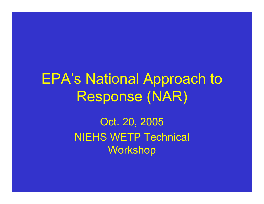EPA's National Approach to Response (NAR)

> Oct. 20, 2005 NIEHS WETP Technical Workshop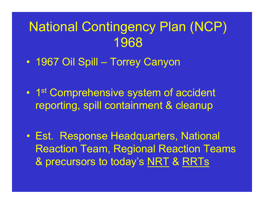#### National Contingency Plan (NCP) 1968

- 1967 Oil Spill Torrey Canyon
- $\bullet$ • 1st Comprehensive system of accident reporting, spill containment & cleanup
- Est. Response Headquarters, National Reaction Team, Regional Reaction Teams & precursors to today's <u>NRT</u> & <u>RRTs</u>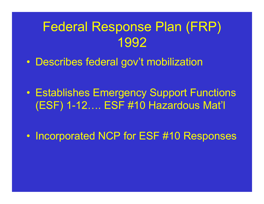#### Federal Response Plan (FRP) 1992

- Describes federal gov't mobilization
- Establishes Emergency Support Functions (ESF) 1-12…. ESF #10 Hazardous Mat'l
- $\bullet$ • Incorporated NCP for ESF #10 Responses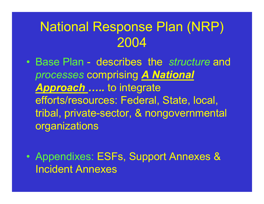#### National Response Plan (NRP) 2004

- Base Plan describes the structure and processes comprising A National Approach ..... to integrate efforts/resources: Federal, State, local, tribal, private-sector, & nongovernmental organizations
- $\bullet$  Appendixes: ESFs, Support Annexes & Incident Annexes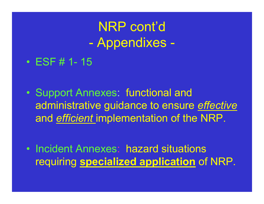NRP cont'd Appendixes

- $\bullet$ ESF # 1 15
- $\bullet$  Support Annexes: functional and administrative guidance to ensure <u>effective</u> and <u>efficient i</u>mplementation of the NRP.
- Incident Annexes: hazard situations requiring **specialized application** of NRP.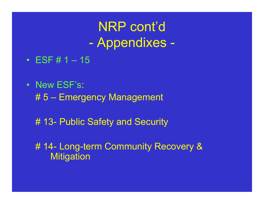NRP cont'd Appendixes

- ESF # 1 15
- New ESF's: # 5 – Emergency Management
	- # 13- Public Safety and Security

# 14- Long-term Community Recovery & **Mitigation**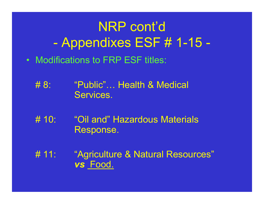# NRP cont'd Appendixes ESF # 1-15 -

- Modifications to FRP ESF titles:
	- $#8:$  8: "Public"… Health & Medical Services.
	- $# 10:$ "Oil and" Hazardous Materials Response.
	- $# 11:$ "Agriculture & Natural Resources" vs Food.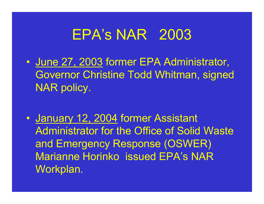# EPA's NAR 2003

- June 27, 2003 former EPA Administrator, Governor Christine Todd Whitman, signed NAR policy.
- $\mathbf C$ • <u>January 12, 2004</u> former Assistant Administrator for the Office of Solid Waste and Emergency Response (OSWER) Marianne Horinko issued EPA's NARWorkplan.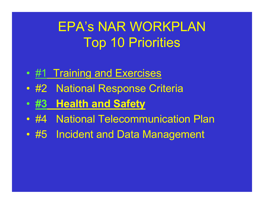# EPA's NAR WORKPLAN Top 10 Priorities

- <u>#1 Training and Exercises</u>
- #2 National Response Criteria
- $\bullet$  #3<u>3 Health and Safety</u>
- #4 National Telecommunication Plan
- #5 Incident and Data Management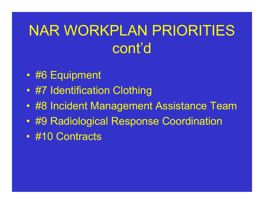# NAR WORKPLAN PRIORITIES cont'd

- #6 Equipment
- #7 Identification Clothing
- #8 Incident Management Assistance Team
- #9 Radiological Response Coordination
- #10 Contracts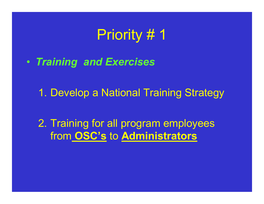# Priority # 1

• Training and Exercises

1. Develop <sup>a</sup> National Training Strategy

2. Training for all program employees from OSC's to Administrators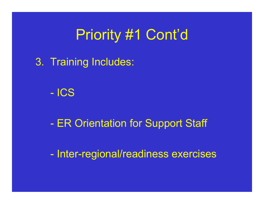# Priority #1 Cont'd

3. Training Includes:

- ICS

**Contract Contract Contract Contract Contract Contract Contract Contract Contract Contract Contract Contract Co** ER Orientation for Support Staff

<u> Tan</u> Inter-regional/readiness exercises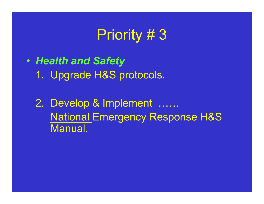# Priority # 3

• Health and Safety 1. Upgrade H&S protocols.

2. Develop & Implement …… National Emergency Response H&S Manual.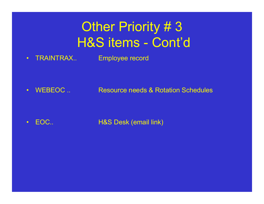## **Other Priority #3** H&S items - Cont'd

•TRAINTRAX.. Employee record

•WEBEOC... Resource needs & Rotation Schedules

•EOC.. H&S Desk (email link)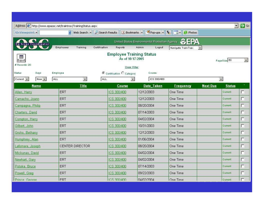| Address (8) http://www.epaosc.net/traintrax/TrainingStatus.aspx |            |                                                                     |                                                                        |                                               |                    |                        |                       | $\lnot$ $\lnot$ Go |  |
|-----------------------------------------------------------------|------------|---------------------------------------------------------------------|------------------------------------------------------------------------|-----------------------------------------------|--------------------|------------------------|-----------------------|--------------------|--|
| Viewpoint                                                       |            |                                                                     | Web Search - Gearch Results   1 Bookmarks - 2 Pop-ups - 1 V - 1 Photos |                                               |                    |                        |                       |                    |  |
| On-Scene Coordinator                                            |            |                                                                     |                                                                        | United States Environmental Protection Agency | EFA                |                        |                       |                    |  |
|                                                                 | Employees  | Training                                                            | Certification<br>Reports                                               | Admin<br>Logout                               | Navigate TrainTrax |                        |                       |                    |  |
| 圍<br>Export<br># Records: 20                                    |            | <b>Employee Training Status</b><br>As of 10/17/2005<br>Clear Filter |                                                                        |                                               |                    |                        | PageSize 50<br>$\sim$ |                    |  |
| Status<br>Days                                                  | Employee   |                                                                     | C Certification C Category                                             | Course                                        |                    |                        |                       |                    |  |
| $Current$ $\star$<br>Now -                                      | ALL        | $\left\vert \mathbf{v}\right\vert$                                  | ALL                                                                    | ICS 300/400<br>$\bullet$                      |                    | $\left  \cdot \right $ |                       |                    |  |
| <b>Name</b>                                                     |            | <b>Title</b>                                                        | Course                                                                 | <b>Date Taken</b>                             | <b>Frequency</b>   | <b>Next Due</b>        | <b>Status</b>         |                    |  |
| Allen, Harry                                                    | ERT        |                                                                     | ICS 300/400                                                            | 12/12/2003                                    | One Time           |                        | Current               | г                  |  |
| Camacho, Joann                                                  | ERT        |                                                                     | ICS 300/400                                                            | 12/12/2003                                    | One Time           |                        | Current               | г                  |  |
| Campagna, Philip                                                | ERT        |                                                                     | ICS 300/400                                                            | 08/20/2004                                    | One Time           |                        | Current               | г                  |  |
| Charters, David                                                 | ERT        |                                                                     | ICS 300/400                                                            | 07/14/2003                                    | One Time           |                        | Current               | г                  |  |
| Compton, Harry                                                  | ERT        |                                                                     | ICS 300/400                                                            | 04/02/2004                                    | One Time           |                        | Current               | г                  |  |
| Gilbert, John                                                   | ERT        |                                                                     | ICS 300/400                                                            | 10/31/2003                                    | One Time           |                        | Current               | г                  |  |
| Grohs, Bethany                                                  | <b>ERT</b> |                                                                     | ICS 300/400                                                            | 12/12/2003                                    | One Time           |                        | Current               | г                  |  |
| Humphrey, Alan                                                  | ERT        |                                                                     | ICS 300/400                                                            | 01/06/2004                                    | One Time           |                        | Current               | г                  |  |
| Lafornara, Joseph                                               |            | <b>CENTER DIRECTOR</b>                                              | ICS 300/400                                                            | 08/20/2004                                    | One Time           |                        | Current               | г                  |  |
| Mickunas, David                                                 | ERT        |                                                                     | ICS 300/400                                                            | 04/02/2004                                    | One Time           |                        | Current               | г                  |  |
| Newhart, Gary                                                   | ERT        |                                                                     | ICS 300/400                                                            | 04/02/2004                                    | One Time           |                        | Current               | г                  |  |
| Potoka, Bruce                                                   | ERT        |                                                                     | ICS 300/400                                                            | 07/14/2003                                    | One Time           |                        | Current               | Г                  |  |
| Powell, Greg                                                    | ERT        |                                                                     | ICS 300/400                                                            | 09/22/2003                                    | One Time           |                        | Current               | г                  |  |
| Prince Genrae                                                   | FRT        |                                                                     | ICS 300/400                                                            | One Time                                      |                    | Current                |                       |                    |  |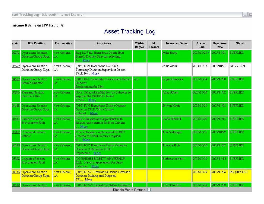#### $\Box$

#### nricane Katrina @ EPA Region 6

#### Asset Tracking Log

| ataid | <b>ICS Position</b>                               | <b>For Location</b> | Description                                                                                 | Within<br>Region | <b>IMT</b><br><b>Trained</b> | <b>Resource Name</b> | Arrival<br>Date | <b>Departure</b><br>Date | <b>Status</b>    |
|-------|---------------------------------------------------|---------------------|---------------------------------------------------------------------------------------------|------------------|------------------------------|----------------------|-----------------|--------------------------|------------------|
| 00791 | <b>Operations Section</b><br>Division/Croup Supr. | New Orleans.<br>LA  | Reg 1/2/7 fill Hazardous Debris East<br>Branch Deputy Director, relieving<br>Jo., More      |                  |                              | Mike Barry           | 2005/10/24 *    | 2005/11/08               | <b>SUPPLIED</b>  |
| 03699 | Operations Section<br>Division/Group Supr.        | New Orleans,<br>LA  | [OPS] R3/5 Hazardous Debris St.<br>Tammany Division Supervisor Decon<br>TFLD Re More        |                  |                              | Josie Clark          | 2005/10/13      | 2005/10/25               | DELIVERED        |
| 04189 | Operations Section<br><b>Branch Director</b>      | New Orleans.<br>LA  | [OPS] R6 Community Involvement Branch Yes<br>Director<br>Replacement for 3441               |                  |                              | Roger Hancock        | 2005/10/24      | 2003/11/08               | <b>SUPPLIED</b>  |
| 1589  | <b>Planning Section</b><br>Resource Unit          | New Orleans.<br>LA  | Note: Delayed Backfill for Joe Schaefer to<br>support the WEBBOC Asset<br>Tracke More       |                  |                              | John Gilbert         | 2005/10/24      | 2005/11/02               | SUPPLIED         |
| 04168 | Operations Section<br>Division/Group Supr.        | New Orleans,<br>LA  | [OPS] R3/5 Hazardous Debns Orleans<br>Division TFLD To be further<br>More<br>defined        |                  |                              | <b>Steven Hirsh</b>  | 2005/10/24      | 2005/11/08               | <b>SUPPLIED</b>  |
|       | <b>Finance Section</b><br>Procurement Unit        | New Orleans.<br>LA. | Field Administrative Specialist with<br>finance and contract for New Orleans<br>More        |                  |                              | Linda Marzulli       | 2005/10/29      | 2005/11/15               | SUPPLIED         |
| 1588  | Command Liaison<br>Officer                        | New Orleans.<br>ΊA. | Tom Volteggio - replacement for SFO<br>Created for Field resource request<br>m. More        |                  |                              | Tom Volteggio        | 2005/10/15      | 2005/10/29               | <b>SUPPLIED</b>  |
| 04170 | Operations Section<br>Division/Croup Supr.        | New Orleans,<br>LA. | [OPS] R3/5 Hazardous Debris Orleanss<br>Division Colledation TFLD<br>Replaceme. More        |                  |                              | Theresa Holz         | 2005/10/24      | 2005/11/08               | <b>SUPPLIED</b>  |
| 13862 | Logistics Section<br>Procurement Unit             | New Orleans,<br>LA  | <b>LOGIHIGH PRIORITY ANY REGION</b><br>FILL - Need a replacement for Barry<br>Evans as More |                  |                              | Barbara Levison      | 2005/10/30      | 2005/11/14               | <b>SUPPLIED</b>  |
| 04176 | Operations Section<br>Division/Group Supr.        | New Orleans,<br>LA  | [OPS] R1/2/7 Hazardous Debris Jefferson<br>Division Bulking and Disposal<br>TFL More        |                  |                              |                      | 2005/10/24      | 2005/11/08               | <b>REQUESTED</b> |
|       | Operations Section                                | New Orleans.        | [OPS] R1/2/7 Hazardous Debris Jefferson<br>Disable Board Refresh                            |                  |                              | Cris DOnofiio        | 2005/10/24      | 2005/11/08               | <b>SUPPLIED</b>  |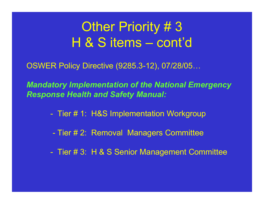#### **Other Priority #3** H & S items – cont'd

OSWER Policy Directive (9285.312), 07/28/05…

Mandatory Implementation of the National Emergency Response Health and Safety Manual:

- <u> Here</u> Tier # 1: H&S Implementation Workgroup
- Tier # 2: Removal Managers Committee
- and the state of the state of the state of the state of the state of the state of the state of the state of th Tier # 3: H & S Senior Management Committee